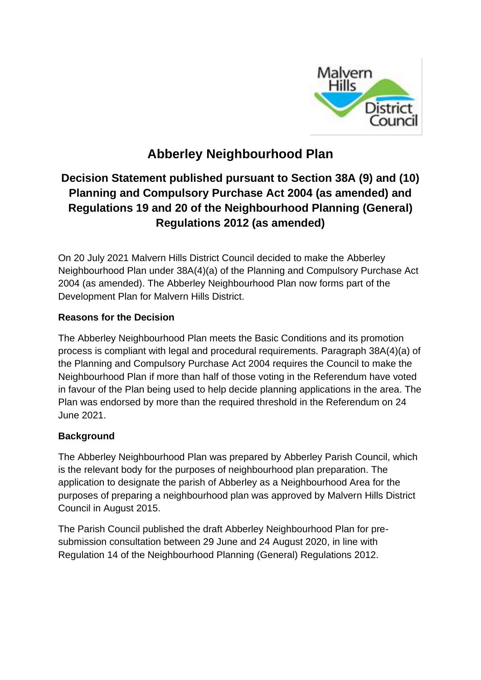

# **Abberley Neighbourhood Plan**

## **Decision Statement published pursuant to Section 38A (9) and (10) Planning and Compulsory Purchase Act 2004 (as amended) and Regulations 19 and 20 of the Neighbourhood Planning (General) Regulations 2012 (as amended)**

On 20 July 2021 Malvern Hills District Council decided to make the Abberley Neighbourhood Plan under 38A(4)(a) of the Planning and Compulsory Purchase Act 2004 (as amended). The Abberley Neighbourhood Plan now forms part of the Development Plan for Malvern Hills District.

### **Reasons for the Decision**

The Abberley Neighbourhood Plan meets the Basic Conditions and its promotion process is compliant with legal and procedural requirements. Paragraph 38A(4)(a) of the Planning and Compulsory Purchase Act 2004 requires the Council to make the Neighbourhood Plan if more than half of those voting in the Referendum have voted in favour of the Plan being used to help decide planning applications in the area. The Plan was endorsed by more than the required threshold in the Referendum on 24 June 2021.

### **Background**

The Abberley Neighbourhood Plan was prepared by Abberley Parish Council, which is the relevant body for the purposes of neighbourhood plan preparation. The application to designate the parish of Abberley as a Neighbourhood Area for the purposes of preparing a neighbourhood plan was approved by Malvern Hills District Council in August 2015.

The Parish Council published the draft Abberley Neighbourhood Plan for presubmission consultation between 29 June and 24 August 2020, in line with Regulation 14 of the Neighbourhood Planning (General) Regulations 2012.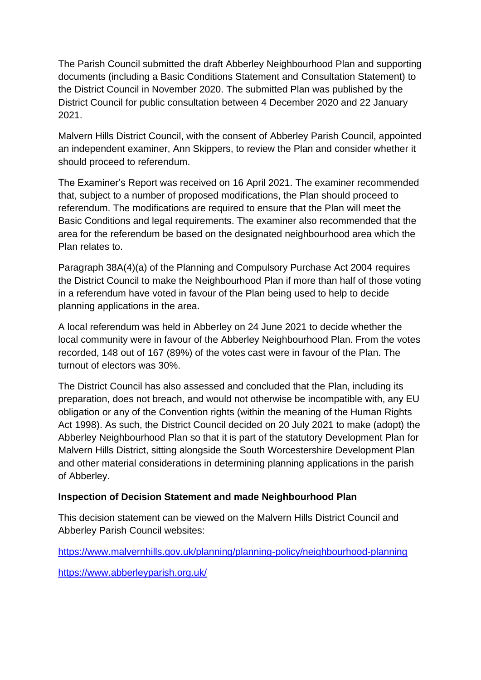The Parish Council submitted the draft Abberley Neighbourhood Plan and supporting documents (including a Basic Conditions Statement and Consultation Statement) to the District Council in November 2020. The submitted Plan was published by the District Council for public consultation between 4 December 2020 and 22 January 2021.

Malvern Hills District Council, with the consent of Abberley Parish Council, appointed an independent examiner, Ann Skippers, to review the Plan and consider whether it should proceed to referendum.

The Examiner's Report was received on 16 April 2021. The examiner recommended that, subject to a number of proposed modifications, the Plan should proceed to referendum. The modifications are required to ensure that the Plan will meet the Basic Conditions and legal requirements. The examiner also recommended that the area for the referendum be based on the designated neighbourhood area which the Plan relates to.

Paragraph 38A(4)(a) of the Planning and Compulsory Purchase Act 2004 requires the District Council to make the Neighbourhood Plan if more than half of those voting in a referendum have voted in favour of the Plan being used to help to decide planning applications in the area.

A local referendum was held in Abberley on 24 June 2021 to decide whether the local community were in favour of the Abberley Neighbourhood Plan. From the votes recorded, 148 out of 167 (89%) of the votes cast were in favour of the Plan. The turnout of electors was 30%.

The District Council has also assessed and concluded that the Plan, including its preparation, does not breach, and would not otherwise be incompatible with, any EU obligation or any of the Convention rights (within the meaning of the Human Rights Act 1998). As such, the District Council decided on 20 July 2021 to make (adopt) the Abberley Neighbourhood Plan so that it is part of the statutory Development Plan for Malvern Hills District, sitting alongside the South Worcestershire Development Plan and other material considerations in determining planning applications in the parish of Abberley.

#### **Inspection of Decision Statement and made Neighbourhood Plan**

This decision statement can be viewed on the Malvern Hills District Council and Abberley Parish Council websites:

<https://www.malvernhills.gov.uk/planning/planning-policy/neighbourhood-planning> <https://www.abberleyparish.org.uk/>